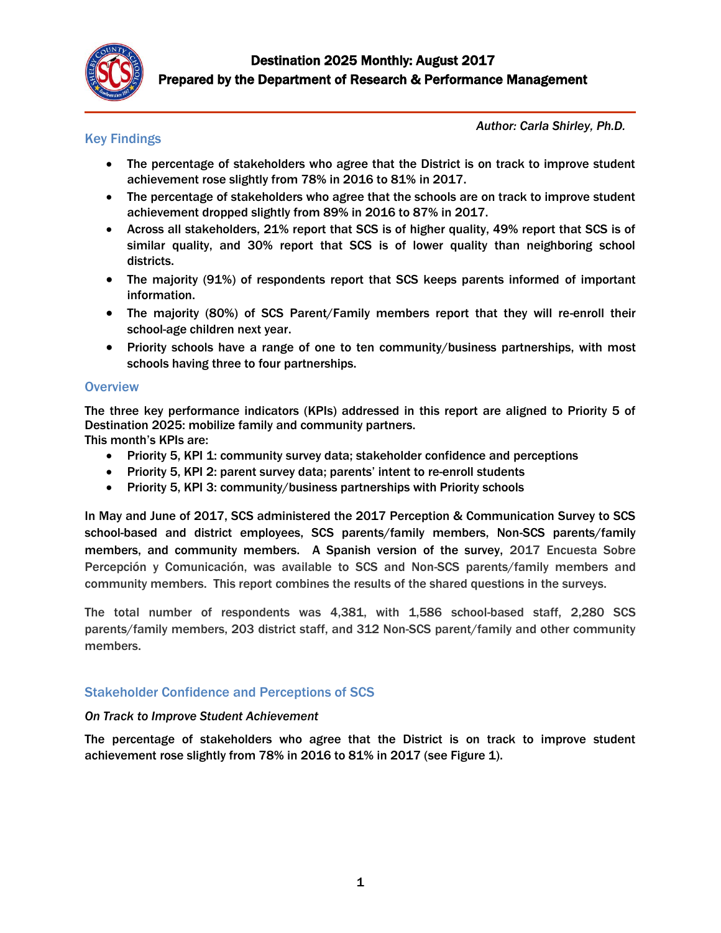

# Key Findings

*Author: Carla Shirley, Ph.D.*

- The percentage of stakeholders who agree that the District is on track to improve student achievement rose slightly from 78% in 2016 to 81% in 2017.
- The percentage of stakeholders who agree that the schools are on track to improve student achievement dropped slightly from 89% in 2016 to 87% in 2017.
- Across all stakeholders, 21% report that SCS is of higher quality, 49% report that SCS is of similar quality, and 30% report that SCS is of lower quality than neighboring school districts.
- The majority (91%) of respondents report that SCS keeps parents informed of important information.
- The majority (80%) of SCS Parent/Family members report that they will re-enroll their school-age children next year.
- Priority schools have a range of one to ten community/business partnerships, with most schools having three to four partnerships.

## **Overview**

The three key performance indicators (KPIs) addressed in this report are aligned to Priority 5 of Destination 2025: mobilize family and community partners.

This month's KPIs are:

- Priority 5, KPI 1: community survey data; stakeholder confidence and perceptions
- Priority 5, KPI 2: parent survey data; parents' intent to re-enroll students
- Priority 5, KPI 3: community/business partnerships with Priority schools

In May and June of 2017, SCS administered the 2017 Perception & Communication Survey to SCS school-based and district employees, SCS parents/family members, Non-SCS parents/family members, and community members. A Spanish version of the survey, 2017 Encuesta Sobre Percepción y Comunicación, was available to SCS and Non-SCS parents/family members and community members. This report combines the results of the shared questions in the surveys.

The total number of respondents was 4,381, with 1,586 school-based staff, 2,280 SCS parents/family members, 203 district staff, and 312 Non-SCS parent/family and other community members.

# Stakeholder Confidence and Perceptions of SCS

## *On Track to Improve Student Achievement*

The percentage of stakeholders who agree that the District is on track to improve student achievement rose slightly from 78% in 2016 to 81% in 2017 (see Figure 1).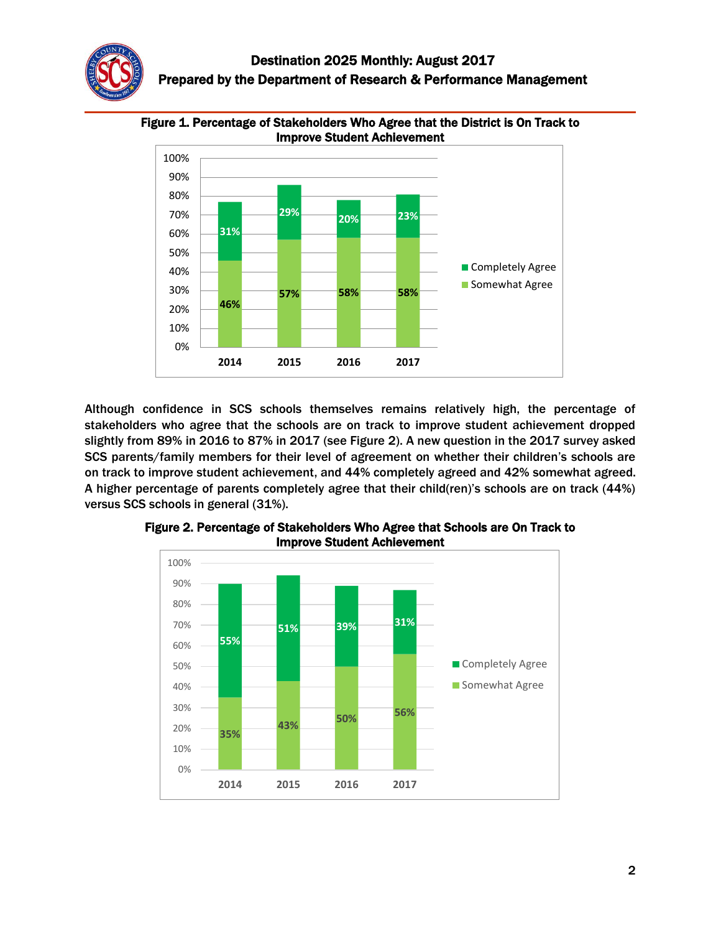



Figure 1. Percentage of Stakeholders Who Agree that the District is On Track to Improve Student Achievement

Although confidence in SCS schools themselves remains relatively high, the percentage of stakeholders who agree that the schools are on track to improve student achievement dropped slightly from 89% in 2016 to 87% in 2017 (see Figure 2). A new question in the 2017 survey asked SCS parents/family members for their level of agreement on whether their children's schools are on track to improve student achievement, and 44% completely agreed and 42% somewhat agreed. A higher percentage of parents completely agree that their child(ren)'s schools are on track (44%) versus SCS schools in general (31%).



Figure 2. Percentage of Stakeholders Who Agree that Schools are On Track to Improve Student Achievement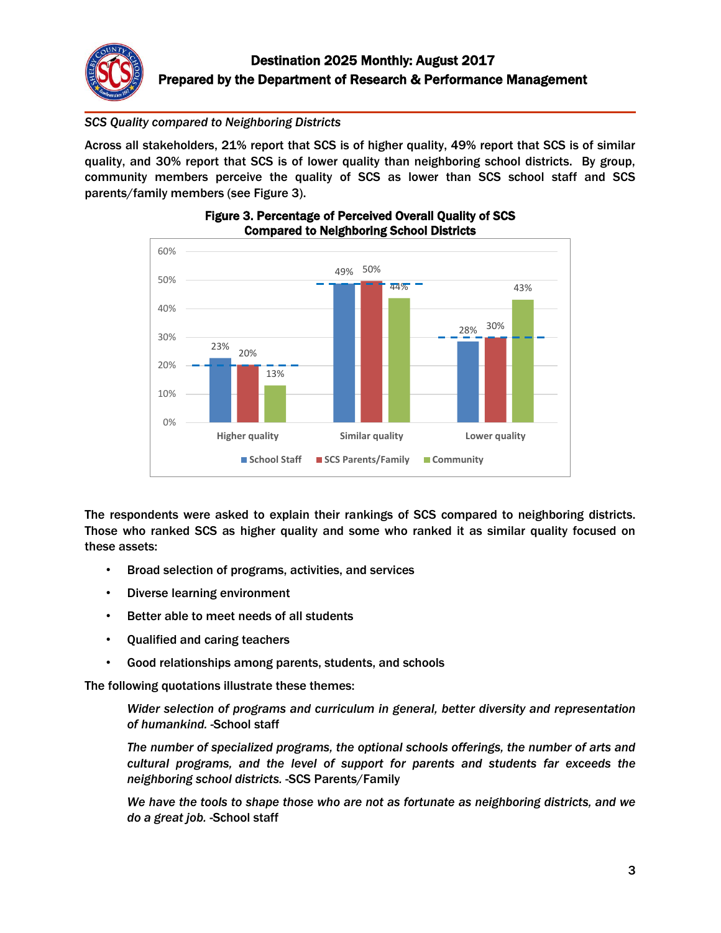

# *SCS Quality compared to Neighboring Districts*

Across all stakeholders, 21% report that SCS is of higher quality, 49% report that SCS is of similar quality, and 30% report that SCS is of lower quality than neighboring school districts. By group, community members perceive the quality of SCS as lower than SCS school staff and SCS parents/family members (see Figure 3).



### Figure 3. Percentage of Perceived Overall Quality of SCS Compared to Neighboring School Districts

The respondents were asked to explain their rankings of SCS compared to neighboring districts. Those who ranked SCS as higher quality and some who ranked it as similar quality focused on these assets:

- Broad selection of programs, activities, and services
- Diverse learning environment
- Better able to meet needs of all students
- Qualified and caring teachers
- Good relationships among parents, students, and schools

The following quotations illustrate these themes:

*Wider selection of programs and curriculum in general, better diversity and representation of humankind. -*School staff

*The number of specialized programs, the optional schools offerings, the number of arts and cultural programs, and the level of support for parents and students far exceeds the neighboring school districts.* -SCS Parents/Family

*We have the tools to shape those who are not as fortunate as neighboring districts, and we do a great job.* -School staff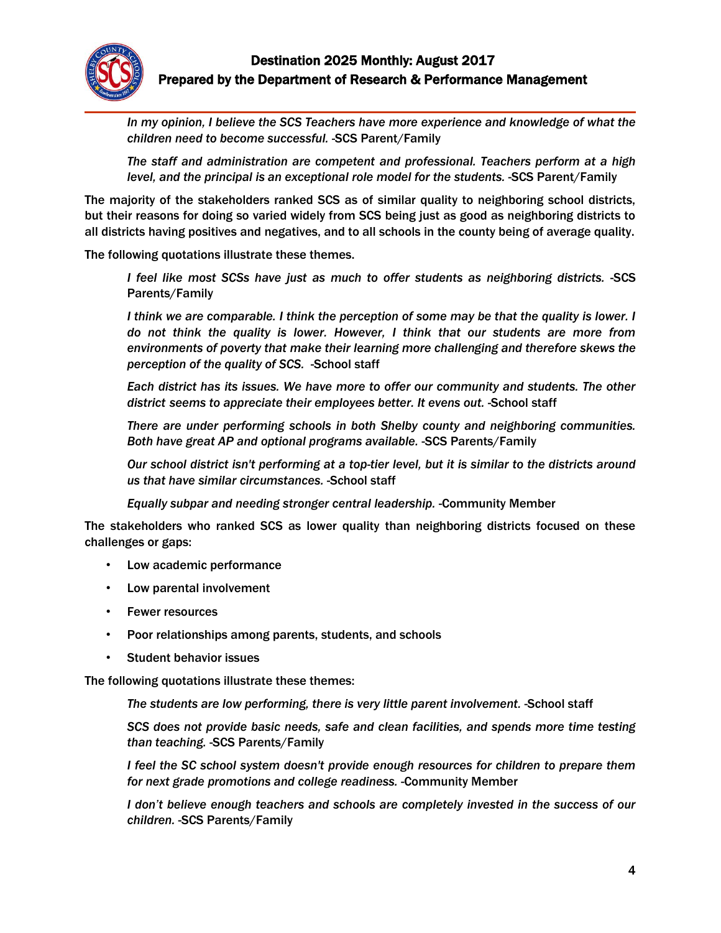

*In my opinion, I believe the SCS Teachers have more experience and knowledge of what the children need to become successful. -*SCS Parent/Family

*The staff and administration are competent and professional. Teachers perform at a high level, and the principal is an exceptional role model for the students.* -SCS Parent/Family

The majority of the stakeholders ranked SCS as of similar quality to neighboring school districts, but their reasons for doing so varied widely from SCS being just as good as neighboring districts to all districts having positives and negatives, and to all schools in the county being of average quality.

The following quotations illustrate these themes.

 *I feel like most SCSs have just as much to offer students as neighboring districts.* -SCS Parents/Family

*I think we are comparable. I think the perception of some may be that the quality is lower. I do not think the quality is lower. However, I think that our students are more from environments of poverty that make their learning more challenging and therefore skews the perception of the quality of SCS.* -School staff

*Each district has its issues. We have more to offer our community and students. The other district seems to appreciate their employees better. It evens out.* -School staff

*There are under performing schools in both Shelby county and neighboring communities. Both have great AP and optional programs available.* -SCS Parents/Family

*Our school district isn't performing at a top-tier level, but it is similar to the districts around us that have similar circumstances.* -School staff

 *Equally subpar and needing stronger central leadership.* -Community Member

The stakeholders who ranked SCS as lower quality than neighboring districts focused on these challenges or gaps:

- Low academic performance
- Low parental involvement
- Fewer resources
- Poor relationships among parents, students, and schools
- Student behavior issues

The following quotations illustrate these themes:

*The students are low performing, there is very little parent involvement.* -School staff

*SCS does not provide basic needs, safe and clean facilities, and spends more time testing than teaching.* -SCS Parents/Family

*I feel the SC school system doesn't provide enough resources for children to prepare them for next grade promotions and college readiness.* -Community Member

*I don't believe enough teachers and schools are completely invested in the success of our children.* -SCS Parents/Family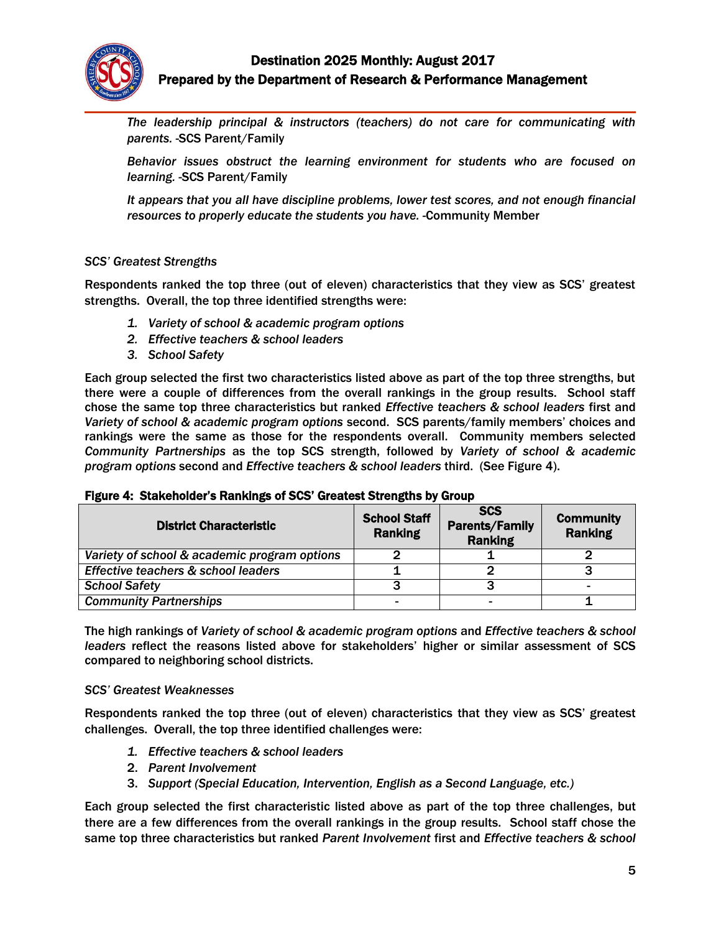

*The leadership principal & instructors (teachers) do not care for communicating with parents.* -SCS Parent/Family

*Behavior issues obstruct the learning environment for students who are focused on learning.* -SCS Parent/Family

*It appears that you all have discipline problems, lower test scores, and not enough financial resources to properly educate the students you have.* -Community Member

#### *SCS' Greatest Strengths*

Respondents ranked the top three (out of eleven) characteristics that they view as SCS' greatest strengths. Overall, the top three identified strengths were:

- *1. Variety of school & academic program options*
- *2. Effective teachers & school leaders*
- *3. School Safety*

Each group selected the first two characteristics listed above as part of the top three strengths, but there were a couple of differences from the overall rankings in the group results. School staff chose the same top three characteristics but ranked *Effective teachers & school leaders* first and *Variety of school & academic program options* second. SCS parents/family members' choices and rankings were the same as those for the respondents overall. Community members selected *Community Partnerships* as the top SCS strength, followed by *Variety of school & academic program options* second and *Effective teachers & school leaders* third. (See Figure 4).

| <b>District Characteristic</b>               | <b>School Staff</b><br><b>Ranking</b> | <b>SCS</b><br><b>Parents/Family</b><br><b>Ranking</b> | <b>Community</b><br><b>Ranking</b> |
|----------------------------------------------|---------------------------------------|-------------------------------------------------------|------------------------------------|
| Variety of school & academic program options |                                       |                                                       |                                    |
| Effective teachers & school leaders          |                                       |                                                       |                                    |
| <b>School Safety</b>                         |                                       |                                                       |                                    |
| <b>Community Partnerships</b>                |                                       |                                                       |                                    |

#### Figure 4: Stakeholder's Rankings of SCS' Greatest Strengths by Group

The high rankings of *Variety of school & academic program options* and *Effective teachers & school leaders* reflect the reasons listed above for stakeholders' higher or similar assessment of SCS compared to neighboring school districts.

#### *SCS' Greatest Weaknesses*

Respondents ranked the top three (out of eleven) characteristics that they view as SCS' greatest challenges. Overall, the top three identified challenges were:

- *1. Effective teachers & school leaders*
- 2. *Parent Involvement*
- 3. *Support (Special Education, Intervention, English as a Second Language, etc.)*

Each group selected the first characteristic listed above as part of the top three challenges, but there are a few differences from the overall rankings in the group results. School staff chose the same top three characteristics but ranked *Parent Involvement* first and *Effective teachers & school*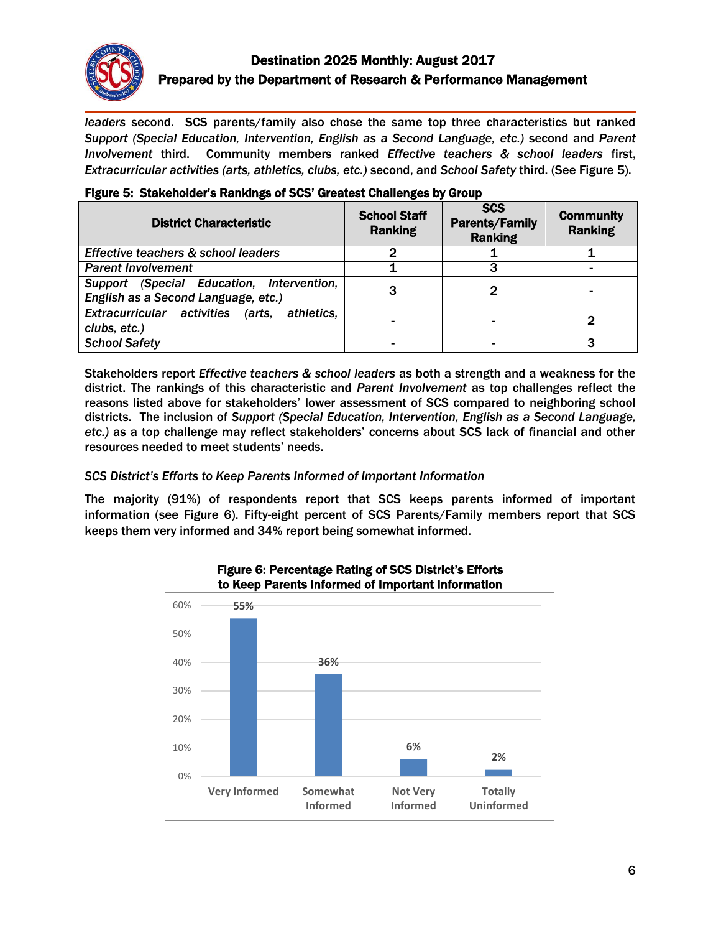

# Destination 2025 Monthly: August 2017 Prepared by the Department of Research & Performance Management

*leaders* second. SCS parents/family also chose the same top three characteristics but ranked *Support (Special Education, Intervention, English as a Second Language, etc.)* second and *Parent Involvement* third. Community members ranked *Effective teachers & school leaders* first, *Extracurricular activities (arts, athletics, clubs, etc.)* second, and *School Safety* third. (See Figure 5).

| <b>District Characteristic</b>                                                   | <b>School Staff</b><br><b>Ranking</b> | <b>SCS</b><br><b>Parents/Family</b><br><b>Ranking</b> | <b>Community</b><br><b>Ranking</b> |
|----------------------------------------------------------------------------------|---------------------------------------|-------------------------------------------------------|------------------------------------|
| Effective teachers & school leaders                                              | 2                                     |                                                       |                                    |
| <b>Parent Involvement</b>                                                        |                                       |                                                       |                                    |
| Support (Special Education, Intervention,<br>English as a Second Language, etc.) |                                       |                                                       |                                    |
| Extracurricular activities<br>athletics.<br>(arts.<br>clubs, etc.)               |                                       |                                                       |                                    |
| <b>School Safety</b>                                                             |                                       |                                                       |                                    |

## Figure 5: Stakeholder's Rankings of SCS' Greatest Challenges by Group

Stakeholders report *Effective teachers & school leaders* as both a strength and a weakness for the district. The rankings of this characteristic and *Parent Involvement* as top challenges reflect the reasons listed above for stakeholders' lower assessment of SCS compared to neighboring school districts. The inclusion of *Support (Special Education, Intervention, English as a Second Language, etc.)* as a top challenge may reflect stakeholders' concerns about SCS lack of financial and other resources needed to meet students' needs.

# *SCS District's Efforts to Keep Parents Informed of Important Information*

The majority (91%) of respondents report that SCS keeps parents informed of important information (see Figure 6). Fifty-eight percent of SCS Parents/Family members report that SCS keeps them very informed and 34% report being somewhat informed.



Figure 6: Percentage Rating of SCS District's Efforts to Keep Parents Informed of Important Information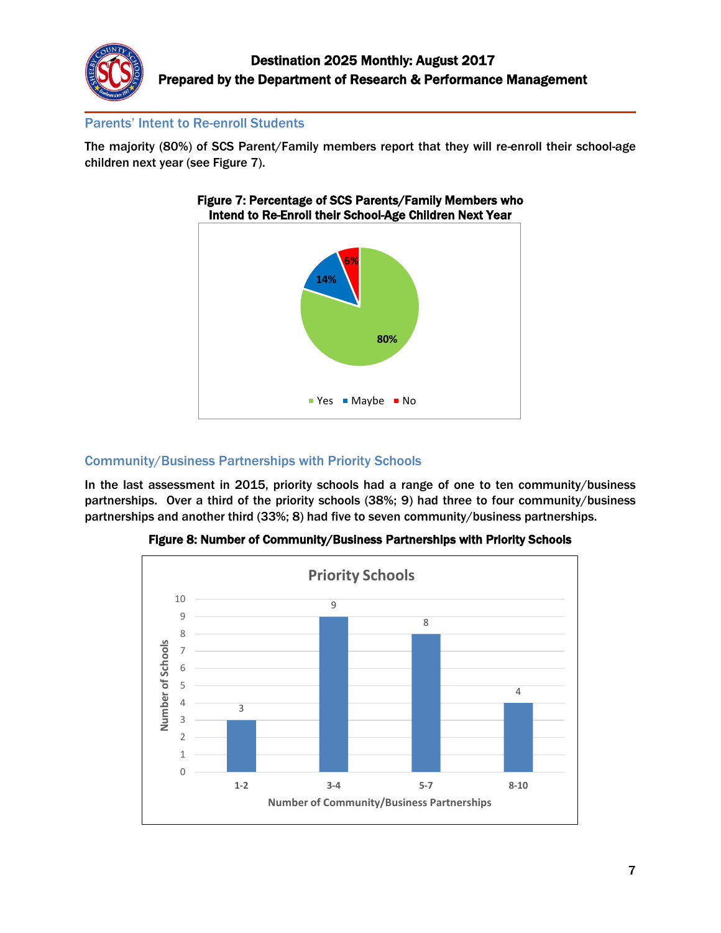

# Parents' Intent to Re-enroll Students

The majority (80%) of SCS Parent/Family members report that they will re-enroll their school-age children next year (see Figure 7).



# Figure 7: Percentage of SCS Parents/Family Members who

# Community/Business Partnerships with Priority Schools

In the last assessment in 2015, priority schools had a range of one to ten community/business partnerships. Over a third of the priority schools (38%; 9) had three to four community/business partnerships and another third (33%; 8) had five to seven community/business partnerships.



# Figure 8: Number of Community/Business Partnerships with Priority Schools